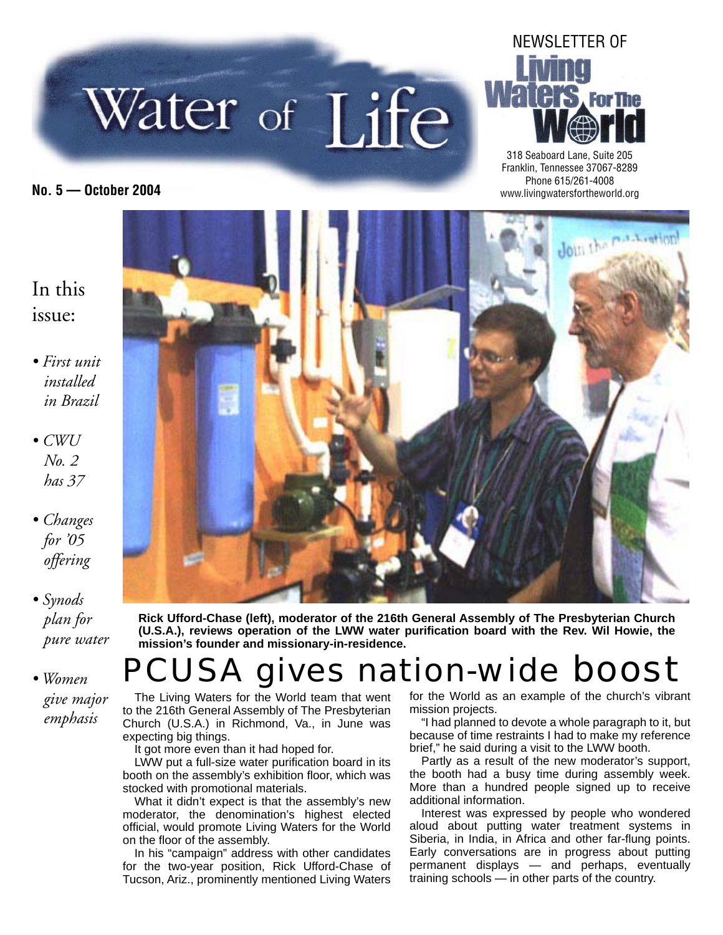



318 Seaboard Lane, Suite 205 Franklin, Tennessee 37067-8289 Phone 615/261-4008 **No. 5 — October 2004** www.livingwatersfortheworld.org

#### In this issue:

- *First unit installed in Brazil*
- *CWU No. 2 has 37*
- *Changes for '05 offering*
- *Synods plan for pure water*
- *Women give major emphasis*



**Rick Ufford-Chase (left), moderator of the 216th General Assembly of The Presbyterian Church (U.S.A.), reviews operation of the LWW water purifi cation board with the Rev. Wil Howie, the mission's founder and missionary-in-residence.**

### PCUSA gives nation-wide boost

The Living Waters for the World team that went to the 216th General Assembly of The Presbyterian Church (U.S.A.) in Richmond, Va., in June was expecting big things.

It got more even than it had hoped for.

LWW put a full-size water purification board in its booth on the assembly's exhibition floor, which was stocked with promotional materials.

What it didn't expect is that the assembly's new moderator, the denomination's highest elected official, would promote Living Waters for the World on the floor of the assembly.

In his "campaign" address with other candidates for the two-year position, Rick Ufford-Chase of Tucson, Ariz., prominently mentioned Living Waters

for the World as an example of the church's vibrant mission projects.

"I had planned to devote a whole paragraph to it, but because of time restraints I had to make my reference brief," he said during a visit to the LWW booth.

Partly as a result of the new moderator's support, the booth had a busy time during assembly week. More than a hundred people signed up to receive additional information.

Interest was expressed by people who wondered aloud about putting water treatment systems in Siberia, in India, in Africa and other far-flung points. Early conversations are in progress about putting permanent displays — and perhaps, eventually training schools — in other parts of the country.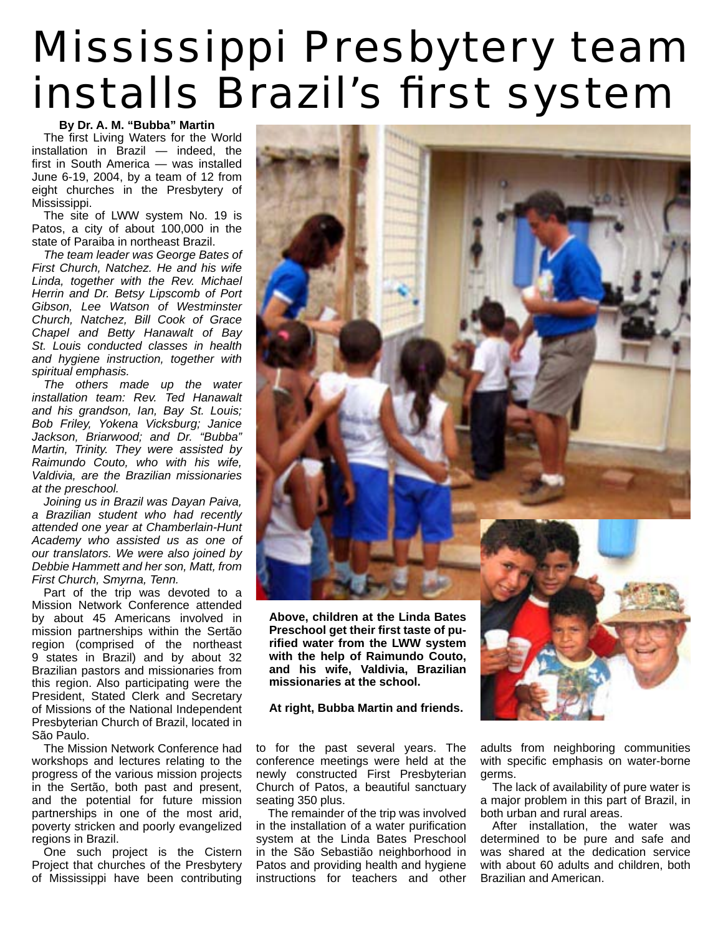# Mississippi Presbytery team installs Brazil's first system

#### **By Dr. A. M. "Bubba" Martin**

The first Living Waters for the World installation in Brazil — indeed, the first in South America  $-$  was installed June 6-19, 2004, by a team of 12 from eight churches in the Presbytery of Mississippi.

The site of LWW system No. 19 is Patos, a city of about 100,000 in the state of Paraiba in northeast Brazil.

*The team leader was George Bates of First Church, Natchez. He and his wife Linda, together with the Rev. Michael Herrin and Dr. Betsy Lipscomb of Port Gibson, Lee Watson of Westminster Church, Natchez, Bill Cook of Grace Chapel and Betty Hanawalt of Bay St. Louis conducted classes in health and hygiene instruction, together with spiritual emphasis.*

*The others made up the water installation team: Rev. Ted Hanawalt and his grandson, Ian, Bay St. Louis; Bob Friley, Yokena Vicksburg; Janice Jackson, Briarwood; and Dr. "Bubba" Martin, Trinity. They were assisted by Raimundo Couto, who with his wife, Valdivia, are the Brazilian missionaries at the preschool.* 

*Joining us in Brazil was Dayan Paiva, a Brazilian student who had recently attended one year at Chamberlain-Hunt Academy who assisted us as one of our translators. We were also joined by Debbie Hammett and her son, Matt, from First Church, Smyrna, Tenn.*

Part of the trip was devoted to a Mission Network Conference attended by about 45 Americans involved in mission partnerships within the Sertão region (comprised of the northeast 9 states in Brazil) and by about 32 Brazilian pastors and missionaries from this region. Also participating were the President, Stated Clerk and Secretary of Missions of the National Independent Presbyterian Church of Brazil, located in São Paulo.

The Mission Network Conference had workshops and lectures relating to the progress of the various mission projects in the Sertão, both past and present, and the potential for future mission partnerships in one of the most arid, poverty stricken and poorly evangelized regions in Brazil.

One such project is the Cistern Project that churches of the Presbytery of Mississippi have been contributing



**Above, children at the Linda Bates**  Preschool get their first taste of pu**rifi ed water from the LWW system with the help of Raimundo Couto, and his wife, Valdivia, Brazilian missionaries at the school.**

#### **At right, Bubba Martin and friends.**

to for the past several years. The conference meetings were held at the newly constructed First Presbyterian Church of Patos, a beautiful sanctuary seating 350 plus.

The remainder of the trip was involved in the installation of a water purification system at the Linda Bates Preschool in the São Sebastião neighborhood in Patos and providing health and hygiene instructions for teachers and other

adults from neighboring communities with specific emphasis on water-borne germs.

The lack of availability of pure water is a major problem in this part of Brazil, in both urban and rural areas.

After installation, the water was determined to be pure and safe and was shared at the dedication service with about 60 adults and children, both Brazilian and American.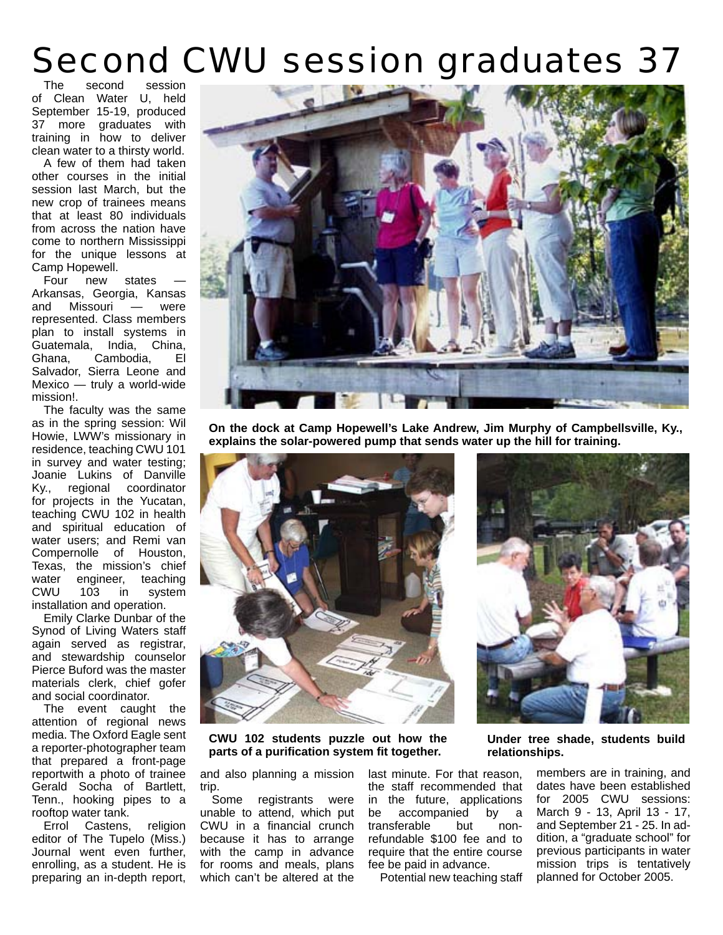## Second CWU session graduates 37

The second session of Clean Water U, held September 15-19, produced 37 more graduates with training in how to deliver clean water to a thirsty world.

A few of them had taken other courses in the initial session last March, but the new crop of trainees means that at least 80 individuals from across the nation have come to northern Mississippi for the unique lessons at Camp Hopewell.

Four new states Arkansas, Georgia, Kansas and Missouri — were represented. Class members plan to install systems in Guatemala, India, China, Ghana, Cambodia, El Salvador, Sierra Leone and Mexico — truly a world-wide mission!.

The faculty was the same as in the spring session: Wil Howie, LWW's missionary in residence, teaching CWU 101 in survey and water testing; Joanie Lukins of Danville Ky., regional coordinator for projects in the Yucatan, teaching CWU 102 in health and spiritual education of water users; and Remi van Compernolle of Houston, Texas, the mission's chief water engineer, teaching<br>CWU 103 in system CWU 103 in system installation and operation.

Emily Clarke Dunbar of the Synod of Living Waters staff again served as registrar, and stewardship counselor Pierce Buford was the master materials clerk, chief gofer and social coordinator.

The event caught the attention of regional news media. The Oxford Eagle sent a reporter-photographer team that prepared a front-page reportwith a photo of trainee Gerald Socha of Bartlett, Tenn., hooking pipes to a rooftop water tank.

Errol Castens, religion editor of The Tupelo (Miss.) Journal went even further, enrolling, as a student. He is preparing an in-depth report,



**On the dock at Camp Hopewell's Lake Andrew, Jim Murphy of Campbellsville, Ky., explains the solar-powered pump that sends water up the hill for training.**





**CWU 102 students puzzle out how the parts of a purifi cation system fi t together.**

and also planning a mission trip.

Some registrants were unable to attend, which put CWU in a financial crunch because it has to arrange with the camp in advance for rooms and meals, plans which can't be altered at the

last minute. For that reason, the staff recommended that in the future, applications be accompanied by a transferable but nonrefundable \$100 fee and to require that the entire course fee be paid in advance.

Potential new teaching staff

**Under tree shade, students build relationships.**

> members are in training, and dates have been established for 2005 CWU sessions: March 9 - 13, April 13 - 17, and September 21 - 25. In addition, a "graduate school" for previous participants in water mission trips is tentatively planned for October 2005.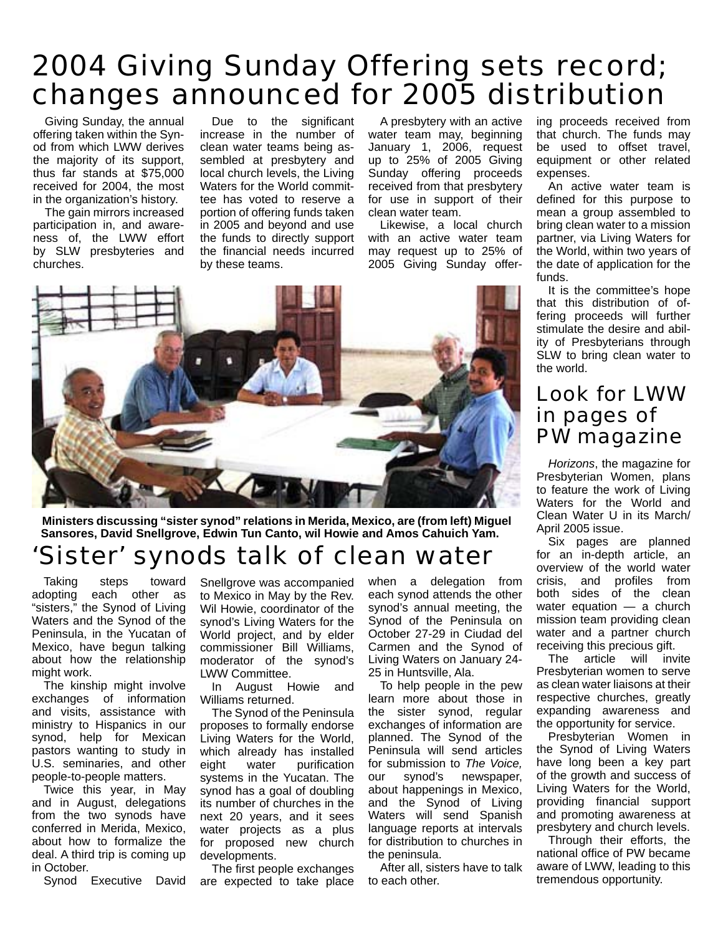### 2004 Giving Sunday Offering sets record; changes announced for 2005 distribution

Giving Sunday, the annual offering taken within the Synod from which LWW derives the majority of its support, thus far stands at \$75,000 received for 2004, the most in the organization's history.

The gain mirrors increased participation in, and awareness of, the LWW effort by SLW presbyteries and churches.

Due to the significant increase in the number of clean water teams being assembled at presbytery and local church levels, the Living Waters for the World committee has voted to reserve a portion of offering funds taken in 2005 and beyond and use the funds to directly support the financial needs incurred by these teams.

A presbytery with an active water team may, beginning January 1, 2006, request up to 25% of 2005 Giving Sunday offering proceeds received from that presbytery for use in support of their clean water team.

Likewise, a local church with an active water team may request up to 25% of 2005 Giving Sunday offer-



**Ministers discussing "sister synod" relations in Merida, Mexico, are (from left) Miguel Sansores, David Snellgrove, Edwin Tun Canto, wil Howie and Amos Cahuich Yam.** 

#### 'Sister' synods talk of clean water

Taking steps toward adopting each other as "sisters," the Synod of Living Waters and the Synod of the Peninsula, in the Yucatan of Mexico, have begun talking about how the relationship might work.

The kinship might involve exchanges of information and visits, assistance with ministry to Hispanics in our synod, help for Mexican pastors wanting to study in U.S. seminaries, and other people-to-people matters.

Twice this year, in May and in August, delegations from the two synods have conferred in Merida, Mexico, about how to formalize the deal. A third trip is coming up in October.

Synod Executive David

Snellgrove was accompanied to Mexico in May by the Rev. Wil Howie, coordinator of the synod's Living Waters for the World project, and by elder commissioner Bill Williams, moderator of the synod's LWW Committee.

In August Howie and Williams returned.

The Synod of the Peninsula proposes to formally endorse Living Waters for the World, which already has installed eight water purification systems in the Yucatan. The synod has a goal of doubling its number of churches in the next 20 years, and it sees water projects as a plus for proposed new church developments.

The first people exchanges are expected to take place when a delegation from each synod attends the other synod's annual meeting, the Synod of the Peninsula on October 27-29 in Ciudad del Carmen and the Synod of Living Waters on January 24- 25 in Huntsville, Ala.

To help people in the pew learn more about those in the sister synod, regular exchanges of information are planned. The Synod of the Peninsula will send articles for submission to *The Voice,*  our synod's newspaper, about happenings in Mexico, and the Synod of Living Waters will send Spanish language reports at intervals for distribution to churches in the peninsula.

After all, sisters have to talk to each other.

ing proceeds received from that church. The funds may be used to offset travel, equipment or other related expenses.

An active water team is defined for this purpose to mean a group assembled to bring clean water to a mission partner, via Living Waters for the World, within two years of the date of application for the funds.

It is the committee's hope that this distribution of offering proceeds will further stimulate the desire and ability of Presbyterians through SLW to bring clean water to the world.

#### Look for LWW in pages of PW magazine

*Horizons*, the magazine for Presbyterian Women, plans to feature the work of Living Waters for the World and Clean Water U in its March/ April 2005 issue.

Six pages are planned for an in-depth article, an overview of the world water crisis, and profiles from both sides of the clean water equation — a church mission team providing clean water and a partner church receiving this precious gift.

The article will invite Presbyterian women to serve as clean water liaisons at their respective churches, greatly expanding awareness and the opportunity for service.

Presbyterian Women in the Synod of Living Waters have long been a key part of the growth and success of Living Waters for the World, providing financial support and promoting awareness at presbytery and church levels.

Through their efforts, the national office of PW became aware of LWW, leading to this tremendous opportunity.